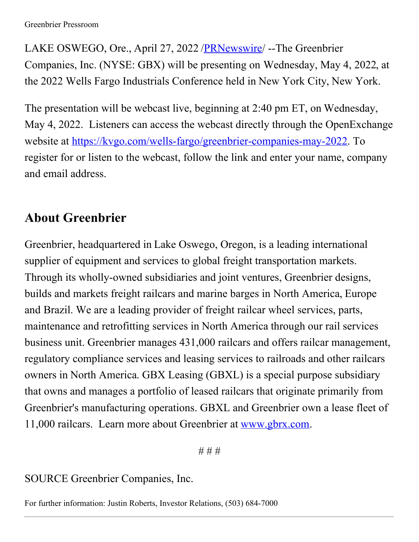LAKE OSWEGO, Ore., April 27, 2022 [/PRNewswire](http://www.prnewswire.com/)/ --The Greenbrier Companies, Inc. (NYSE: GBX) will be presenting on Wednesday, May 4, 2022, at the 2022 Wells Fargo Industrials Conference held in New York City, New York.

The presentation will be webcast live, beginning at 2:40 pm ET, on Wednesday, May 4, 2022. Listeners can access the webcast directly through the OpenExchange website at [https://kvgo.com/wells-fargo/greenbrier-companies-may-2022](https://c212.net/c/link/?t=0&l=en&o=3519026-1&h=2334554576&u=https%3A%2F%2Fkvgo.com%2Fwells-fargo%2Fgreenbrier-companies-may-2022&a=https%3A%2F%2Fkvgo.com%2Fwells-fargo%2Fgreenbrier-companies-may-2022). To register for or listen to the webcast, follow the link and enter your name, company and email address.

## **About Greenbrier**

Greenbrier, headquartered in Lake Oswego, Oregon, is a leading international supplier of equipment and services to global freight transportation markets. Through its wholly-owned subsidiaries and joint ventures, Greenbrier designs, builds and markets freight railcars and marine barges in North America, Europe and Brazil. We are a leading provider of freight railcar wheel services, parts, maintenance and retrofitting services in North America through our rail services business unit. Greenbrier manages 431,000 railcars and offers railcar management, regulatory compliance services and leasing services to railroads and other railcars owners in North America. GBX Leasing (GBXL) is a special purpose subsidiary that owns and manages a portfolio of leased railcars that originate primarily from Greenbrier's manufacturing operations. GBXL and Greenbrier own a lease fleet of 11,000 railcars. Learn more about Greenbrier at [www.gbrx.com](https://c212.net/c/link/?t=0&l=en&o=3519026-1&h=1930926417&u=http%3A%2F%2Fwww.gbrx.com%2F&a=www.gbrx.com).

*# # #*

## SOURCE Greenbrier Companies, Inc.

For further information: Justin Roberts, Investor Relations, (503) 684-7000